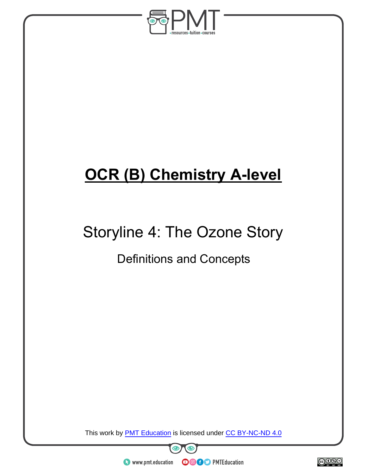

# **OCR (B) Chemistry A-level**

# Storyline 4: The Ozone Story

### Definitions and Concepts

This work by **PMT Education** is licensed under CC BY-NC-ND 4.0



 $\bullet$  www.pmt.education

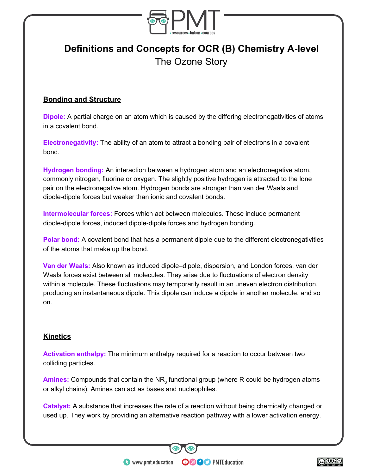

### **Definitions and Concepts for OCR (B) Chemistry A-level** The Ozone Story

#### **Bonding and Structure**

**Dipole:** A partial charge on an atom which is caused by the differing electronegativities of atoms in a covalent bond.

**Electronegativity:** The ability of an atom to attract a bonding pair of electrons in a covalent bond.

**Hydrogen bonding:** An interaction between a hydrogen atom and an electronegative atom, commonly nitrogen, fluorine or oxygen. The slightly positive hydrogen is attracted to the lone pair on the electronegative atom. Hydrogen bonds are stronger than van der Waals and dipole-dipole forces but weaker than ionic and covalent bonds.

**Intermolecular forces:** Forces which act between molecules. These include permanent dipole-dipole forces, induced dipole-dipole forces and hydrogen bonding.

**Polar bond:** A covalent bond that has a permanent dipole due to the different electronegativities of the atoms that make up the bond.

**Van der Waals:** Also known as induced dipole–dipole, dispersion, and London forces, van der Waals forces exist between all molecules. They arise due to fluctuations of electron density within a molecule. These fluctuations may temporarily result in an uneven electron distribution, producing an instantaneous dipole. This dipole can induce a dipole in another molecule, and so on.

#### **Kinetics**

**Activation enthalpy:** The minimum enthalpy required for a reaction to occur between two colliding particles.

Amines: Compounds that contain the NR<sub>3</sub> functional group (where R could be hydrogen atoms or alkyl chains). Amines can act as bases and nucleophiles.

**Catalyst:** A substance that increases the rate of a reaction without being chemically changed or used up. They work by providing an alternative reaction pathway with a lower activation energy.

**OOOO** PMTEducation

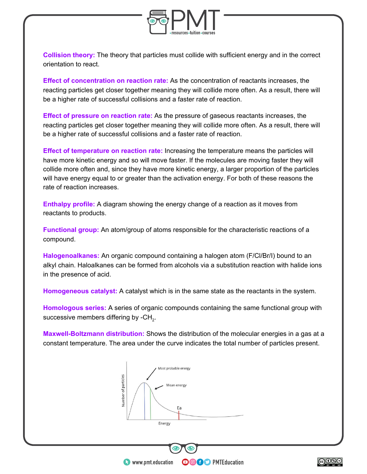

**Collision theory:** The theory that particles must collide with sufficient energy and in the correct orientation to react.

**Effect of concentration on reaction rate:** As the concentration of reactants increases, the reacting particles get closer together meaning they will collide more often. As a result, there will be a higher rate of successful collisions and a faster rate of reaction.

**Effect of pressure on reaction rate:** As the pressure of gaseous reactants increases, the reacting particles get closer together meaning they will collide more often. As a result, there will be a higher rate of successful collisions and a faster rate of reaction.

**Effect of temperature on reaction rate:** Increasing the temperature means the particles will have more kinetic energy and so will move faster. If the molecules are moving faster they will collide more often and, since they have more kinetic energy, a larger proportion of the particles will have energy equal to or greater than the activation energy. For both of these reasons the rate of reaction increases.

**Enthalpy profile:** A diagram showing the energy change of a reaction as it moves from reactants to products.

**Functional group:** An atom/group of atoms responsible for the characteristic reactions of a compound.

**Halogenoalkanes:** An organic compound containing a halogen atom (F/Cl/Br/I) bound to an alkyl chain. Haloalkanes can be formed from alcohols via a substitution reaction with halide ions in the presence of acid.

**Homogeneous catalyst:** A catalyst which is in the same state as the reactants in the system.

**Homologous series:** A series of organic compounds containing the same functional group with successive members differing by -CH<sub>2</sub>.

**Maxwell-Boltzmann distribution:** Shows the distribution of the molecular energies in a gas at a constant temperature. The area under the curve indicates the total number of particles present.

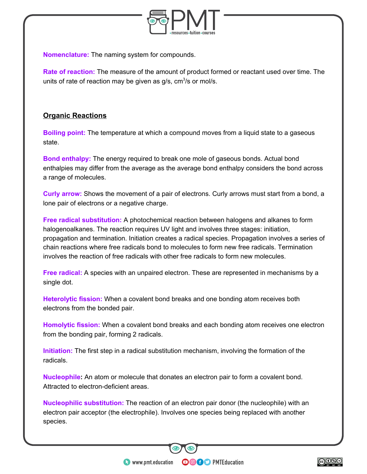

**Nomenclature:** The naming system for compounds.

**Rate of reaction:** The measure of the amount of product formed or reactant used over time. The units of rate of reaction may be given as  $g/s$ , cm $3/s$  or mol/s.

#### **Organic Reactions**

**Boiling point:** The temperature at which a compound moves from a liquid state to a gaseous state.

**Bond enthalpy:** The energy required to break one mole of gaseous bonds. Actual bond enthalpies may differ from the average as the average bond enthalpy considers the bond across a range of molecules.

**Curly arrow:** Shows the movement of a pair of electrons. Curly arrows must start from a bond, a lone pair of electrons or a negative charge.

**Free radical substitution:** A photochemical reaction between halogens and alkanes to form halogenoalkanes. The reaction requires UV light and involves three stages: initiation, propagation and termination. Initiation creates a radical species. Propagation involves a series of chain reactions where free radicals bond to molecules to form new free radicals. Termination involves the reaction of free radicals with other free radicals to form new molecules.

**Free radical:** A species with an unpaired electron. These are represented in mechanisms by a single dot.

**Heterolytic fission:** When a covalent bond breaks and one bonding atom receives both electrons from the bonded pair.

**Homolytic fission:** When a covalent bond breaks and each bonding atom receives one electron from the bonding pair, forming 2 radicals.

**Initiation:** The first step in a radical substitution mechanism, involving the formation of the radicals.

**Nucleophile:** An atom or molecule that donates an electron pair to form a covalent bond. Attracted to electron-deficient areas.

**Nucleophilic substitution:** The reaction of an electron pair donor (the nucleophile) with an electron pair acceptor (the electrophile). Involves one species being replaced with another species.

**OOOO** PMTEducation

 $\bullet$  www.pmt.education

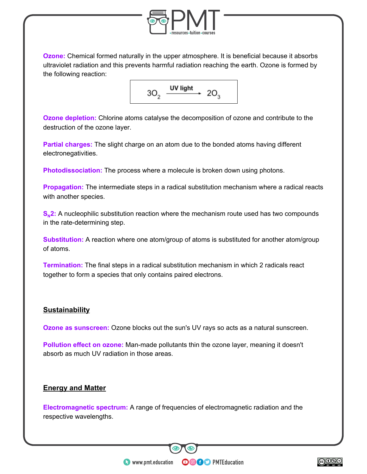

**Ozone:** Chemical formed naturally in the upper atmosphere. It is beneficial because it absorbs ultraviolet radiation and this prevents harmful radiation reaching the earth. Ozone is formed by the following reaction:



**Ozone depletion:** Chlorine atoms catalyse the decomposition of ozone and contribute to the destruction of the ozone layer.

**Partial charges:** The slight charge on an atom due to the bonded atoms having different electronegativities.

**Photodissociation:** The process where a molecule is broken down using photons.

**Propagation:** The intermediate steps in a radical substitution mechanism where a radical reacts with another species.

**S<sub>N</sub>2:** A nucleophilic substitution reaction where the mechanism route used has two compounds in the rate-determining step.

**Substitution:** A reaction where one atom/group of atoms is substituted for another atom/group of atoms.

**Termination:** The final steps in a radical substitution mechanism in which 2 radicals react together to form a species that only contains paired electrons.

#### **Sustainability**

**Ozone as sunscreen:** Ozone blocks out the sun's UV rays so acts as a natural sunscreen.

**Pollution effect on ozone:** Man-made pollutants thin the ozone layer, meaning it doesn't absorb as much UV radiation in those areas.

#### **Energy and Matter**

**Electromagnetic spectrum:** A range of frequencies of electromagnetic radiation and the respective wavelengths.

**OOOO** PMTEducation